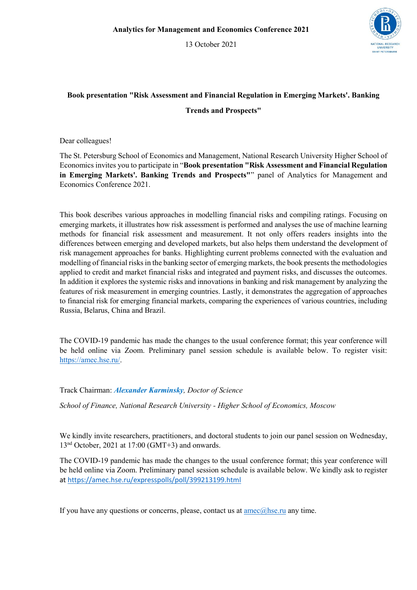13 October 2021



## **Book presentation "Risk Assessment and Financial Regulation in Emerging Markets'. Banking**

## **Trends and Prospects"**

Dear colleagues!

The St. Petersburg School of Economics and Management, National Research University Higher School of Economics invites you to participate in "Book presentation "Risk Assessment and Financial Regulation in Emerging Markets'. Banking Trends and Prospects"" panel of Analytics for Management and Economics Conference 2021.

This book describes various approaches in modelling financial risks and compiling ratings. Focusing on emerging markets, it illustrates how risk assessment is performed and analyses the use of machine learning methods for financial risk assessment and measurement. It not only offers readers insights into the differences between emerging and developed markets, but also helps them understand the development of risk management approaches for banks. Highlighting current problems connected with the evaluation and modelling of financial risks in the banking sector of emerging markets, the book presents the methodologies applied to credit and market financial risks and integrated and payment risks, and discusses the outcomes. In addition it explores the systemic risks and innovations in banking and risk management by analyzing the features of risk measurement in emerging countries. Lastly, it demonstrates the aggregation of approaches to financial risk for emerging financial markets, comparing the experiences of various countries, including Russia, Belarus, China and Brazil.

The COVID-19 pandemic has made the changes to the usual conference format; this year conference will be held online via Zoom. Preliminary panel session schedule is available below. To register visit: https://amec.hse.ru/.

Track Chairman: *Alexander Karminsky, Doctor of Science*

*School of Finance, National Research University - Higher School of Economics, Moscow*

We kindly invite researchers, practitioners, and doctoral students to join our panel session on Wednesday, 13nd October, 2021 at 17:00 (GMT+3) and onwards.

The COVID-19 pandemic has made the changes to the usual conference format; this year conference will be held online via Zoom. Preliminary panel session schedule is available below. We kindly ask to register at https://amec.hse.ru/expresspolls/poll/399213199.html

If you have any questions or concerns, please, contact us at  $\text{ance}(a)$ hse.ru any time.